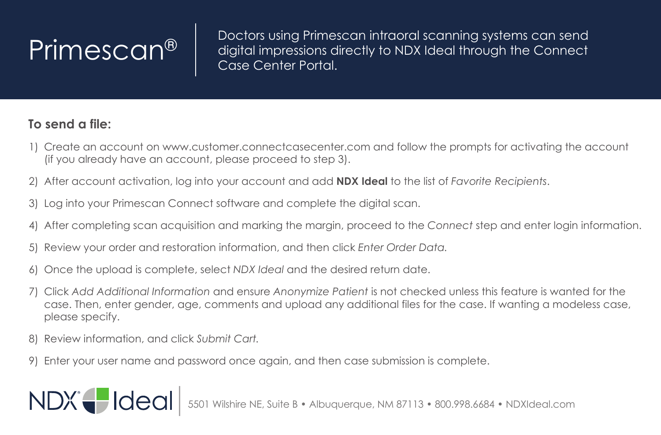$\small \left\vert \text{Primes} \right\vert \quad \text{Dectors using Primescan intraoral scanning systems can send digital impressions directly to NDX Ideal through the Connect.}$ Case Center Portal.

## **To send a file:**

- 1) Create an account on www.customer.connectcasecenter.com and follow the prompts for activating the account (if you already have an account, please proceed to step 3).
- 2) After account activation, log into your account and add **NDX Ideal** to the list of *Favorite Recipients*.
- 3) Log into your Primescan Connect software and complete the digital scan.
- 4) After completing scan acquisition and marking the margin, proceed to the *Connect* step and enter login information.
- 5) Review your order and restoration information, and then click *Enter Order Data.*
- 6) Once the upload is complete, select *NDX Ideal* and the desired return date.
- 7) Click *Add Additional Information* and ensure *Anonymize Patient* is not checked unless this feature is wanted for the case. Then, enter gender, age, comments and upload any additional files for the case. If wanting a modeless case, please specify.
- 8) Review information, and click *Submit Cart.*

NDX Hdeal

9) Enter your user name and password once again, and then case submission is complete.

5501 Wilshire NE, Suite B • Albuquerque, NM 87113 • 800.998.6684 • NDXIdeal.com